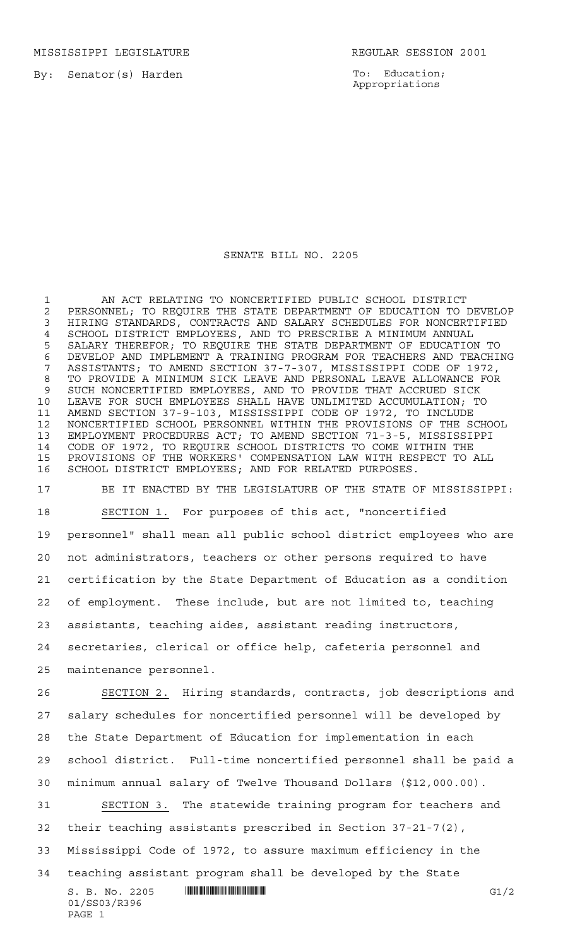MISSISSIPPI LEGISLATURE **REGULAR SESSION 2001** 

By: Senator(s) Harden

PAGE 1

To: Education; Appropriations

## SENATE BILL NO. 2205

 AN ACT RELATING TO NONCERTIFIED PUBLIC SCHOOL DISTRICT 2 PERSONNEL; TO REQUIRE THE STATE DEPARTMENT OF EDUCATION TO DEVELOP<br>3 HIRING STANDARDS, CONTRACTS AND SALARY SCHEDULES FOR NONCERTIFIED HIRING STANDARDS, CONTRACTS AND SALARY SCHEDULES FOR NONCERTIFIED 4 SCHOOL DISTRICT EMPLOYEES, AND TO PRESCRIBE A MINIMUM ANNUAL<br>5 SALARY THEREFOR; TO REQUIRE THE STATE DEPARTMENT OF EDUCATIO SALARY THEREFOR; TO REQUIRE THE STATE DEPARTMENT OF EDUCATION TO DEVELOP AND IMPLEMENT A TRAINING PROGRAM FOR TEACHERS AND TEACHING ASSISTANTS; TO AMEND SECTION 37-7-307, MISSISSIPPI CODE OF 1972, TO PROVIDE A MINIMUM SICK LEAVE AND PERSONAL LEAVE ALLOWANCE FOR SUCH NONCERTIFIED EMPLOYEES, AND TO PROVIDE THAT ACCRUED SICK LEAVE FOR SUCH EMPLOYEES SHALL HAVE UNLIMITED ACCUMULATION; TO AMEND SECTION 37-9-103, MISSISSIPPI CODE OF 1972, TO INCLUDE NONCERTIFIED SCHOOL PERSONNEL WITHIN THE PROVISIONS OF THE SCHOOL EMPLOYMENT PROCEDURES ACT; TO AMEND SECTION 71-3-5, MISSISSIPPI CODE OF 1972, TO REQUIRE SCHOOL DISTRICTS TO COME WITHIN THE PROVISIONS OF THE WORKERS' COMPENSATION LAW WITH RESPECT TO ALL SCHOOL DISTRICT EMPLOYEES; AND FOR RELATED PURPOSES.

 BE IT ENACTED BY THE LEGISLATURE OF THE STATE OF MISSISSIPPI: SECTION 1. For purposes of this act, "noncertified personnel" shall mean all public school district employees who are not administrators, teachers or other persons required to have certification by the State Department of Education as a condition of employment. These include, but are not limited to, teaching assistants, teaching aides, assistant reading instructors, secretaries, clerical or office help, cafeteria personnel and maintenance personnel.

 $S. B. No. 2205$   $\blacksquare$   $\blacksquare$   $\blacksquare$   $\blacksquare$   $\blacksquare$   $\blacksquare$   $\blacksquare$   $\blacksquare$   $\blacksquare$   $\blacksquare$   $\blacksquare$   $\blacksquare$   $\blacksquare$   $\blacksquare$   $\blacksquare$   $\blacksquare$   $\blacksquare$   $\blacksquare$   $\blacksquare$   $\blacksquare$   $\blacksquare$   $\blacksquare$   $\blacksquare$   $\blacksquare$   $\blacksquare$   $\blacksquare$   $\blacksquare$   $\blacksquare$   $\blacksquare$   $\blacks$ 01/SS03/R396 SECTION 2. Hiring standards, contracts, job descriptions and salary schedules for noncertified personnel will be developed by the State Department of Education for implementation in each school district. Full-time noncertified personnel shall be paid a minimum annual salary of Twelve Thousand Dollars (\$12,000.00). SECTION 3. The statewide training program for teachers and their teaching assistants prescribed in Section 37-21-7(2), Mississippi Code of 1972, to assure maximum efficiency in the teaching assistant program shall be developed by the State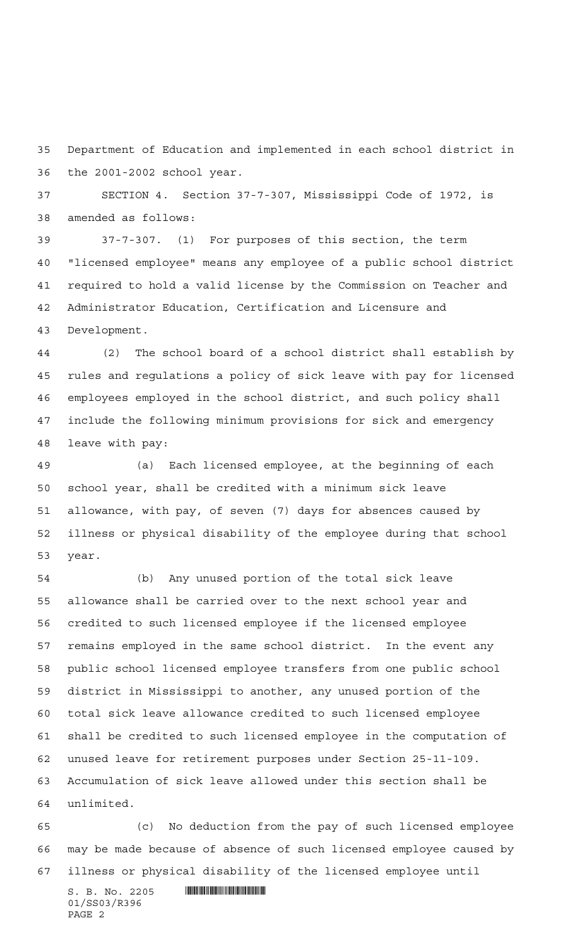Department of Education and implemented in each school district in the 2001-2002 school year.

 SECTION 4. Section 37-7-307, Mississippi Code of 1972, is amended as follows:

 37-7-307. (1) For purposes of this section, the term "licensed employee" means any employee of a public school district required to hold a valid license by the Commission on Teacher and Administrator Education, Certification and Licensure and Development.

 (2) The school board of a school district shall establish by rules and regulations a policy of sick leave with pay for licensed employees employed in the school district, and such policy shall include the following minimum provisions for sick and emergency leave with pay:

 (a) Each licensed employee, at the beginning of each school year, shall be credited with a minimum sick leave allowance, with pay, of seven (7) days for absences caused by illness or physical disability of the employee during that school year.

 (b) Any unused portion of the total sick leave allowance shall be carried over to the next school year and credited to such licensed employee if the licensed employee remains employed in the same school district. In the event any public school licensed employee transfers from one public school district in Mississippi to another, any unused portion of the total sick leave allowance credited to such licensed employee shall be credited to such licensed employee in the computation of unused leave for retirement purposes under Section 25-11-109. Accumulation of sick leave allowed under this section shall be unlimited.

 (c) No deduction from the pay of such licensed employee may be made because of absence of such licensed employee caused by illness or physical disability of the licensed employee until

 $S. B. No. 2205$  . Similar and the set of  $\sim$ 01/SS03/R396 PAGE 2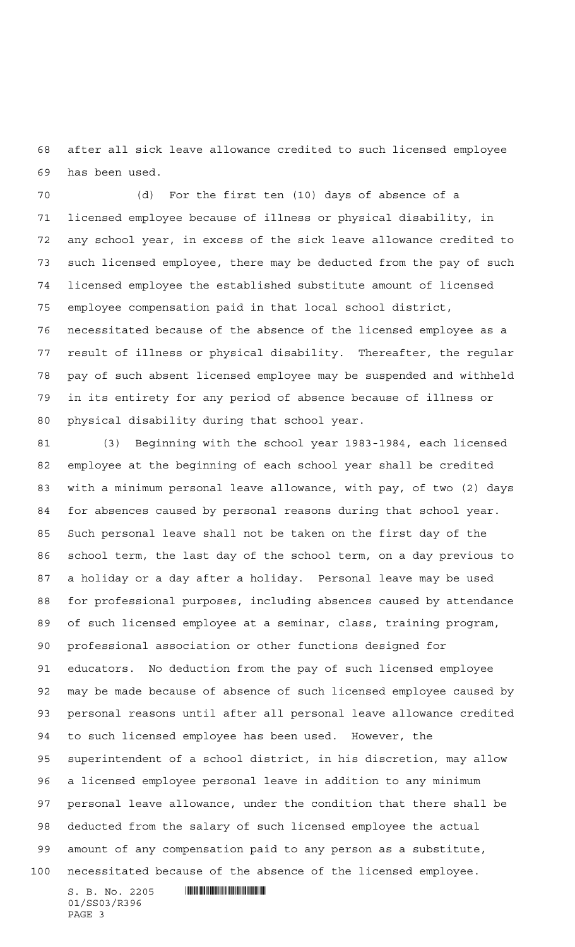after all sick leave allowance credited to such licensed employee has been used.

 (d) For the first ten (10) days of absence of a licensed employee because of illness or physical disability, in any school year, in excess of the sick leave allowance credited to such licensed employee, there may be deducted from the pay of such licensed employee the established substitute amount of licensed employee compensation paid in that local school district, necessitated because of the absence of the licensed employee as a result of illness or physical disability. Thereafter, the regular pay of such absent licensed employee may be suspended and withheld in its entirety for any period of absence because of illness or physical disability during that school year.

 (3) Beginning with the school year 1983-1984, each licensed employee at the beginning of each school year shall be credited with a minimum personal leave allowance, with pay, of two (2) days for absences caused by personal reasons during that school year. Such personal leave shall not be taken on the first day of the school term, the last day of the school term, on a day previous to a holiday or a day after a holiday. Personal leave may be used for professional purposes, including absences caused by attendance of such licensed employee at a seminar, class, training program, professional association or other functions designed for educators. No deduction from the pay of such licensed employee may be made because of absence of such licensed employee caused by personal reasons until after all personal leave allowance credited to such licensed employee has been used. However, the superintendent of a school district, in his discretion, may allow a licensed employee personal leave in addition to any minimum personal leave allowance, under the condition that there shall be deducted from the salary of such licensed employee the actual amount of any compensation paid to any person as a substitute, necessitated because of the absence of the licensed employee.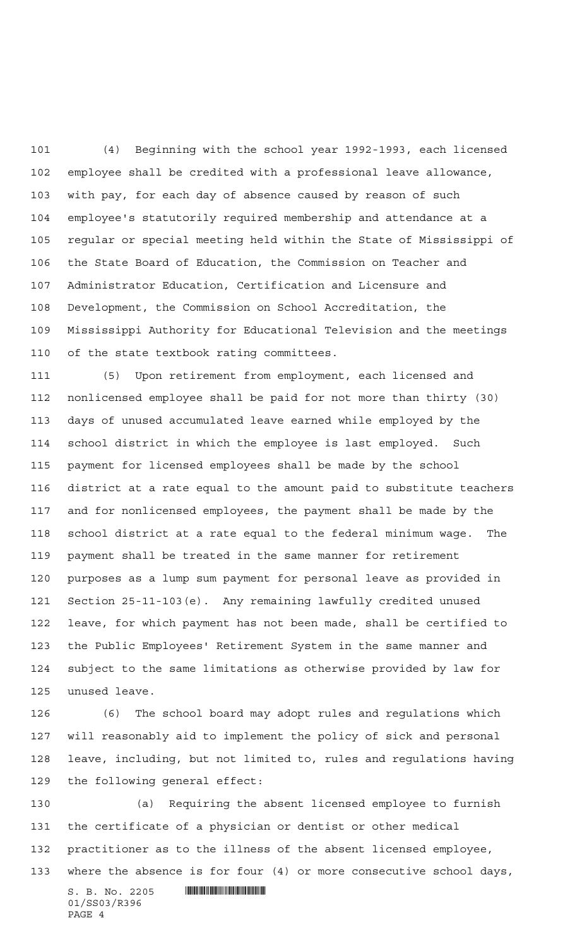(4) Beginning with the school year 1992-1993, each licensed employee shall be credited with a professional leave allowance, with pay, for each day of absence caused by reason of such employee's statutorily required membership and attendance at a regular or special meeting held within the State of Mississippi of the State Board of Education, the Commission on Teacher and Administrator Education, Certification and Licensure and Development, the Commission on School Accreditation, the Mississippi Authority for Educational Television and the meetings of the state textbook rating committees.

 (5) Upon retirement from employment, each licensed and nonlicensed employee shall be paid for not more than thirty (30) days of unused accumulated leave earned while employed by the school district in which the employee is last employed. Such payment for licensed employees shall be made by the school district at a rate equal to the amount paid to substitute teachers and for nonlicensed employees, the payment shall be made by the school district at a rate equal to the federal minimum wage. The payment shall be treated in the same manner for retirement purposes as a lump sum payment for personal leave as provided in Section 25-11-103(e). Any remaining lawfully credited unused leave, for which payment has not been made, shall be certified to the Public Employees' Retirement System in the same manner and subject to the same limitations as otherwise provided by law for unused leave.

 (6) The school board may adopt rules and regulations which will reasonably aid to implement the policy of sick and personal leave, including, but not limited to, rules and regulations having the following general effect:

 $S. B. No. 2205$  . Similar and the set of  $\sim$ 01/SS03/R396 (a) Requiring the absent licensed employee to furnish the certificate of a physician or dentist or other medical practitioner as to the illness of the absent licensed employee, where the absence is for four (4) or more consecutive school days,

PAGE 4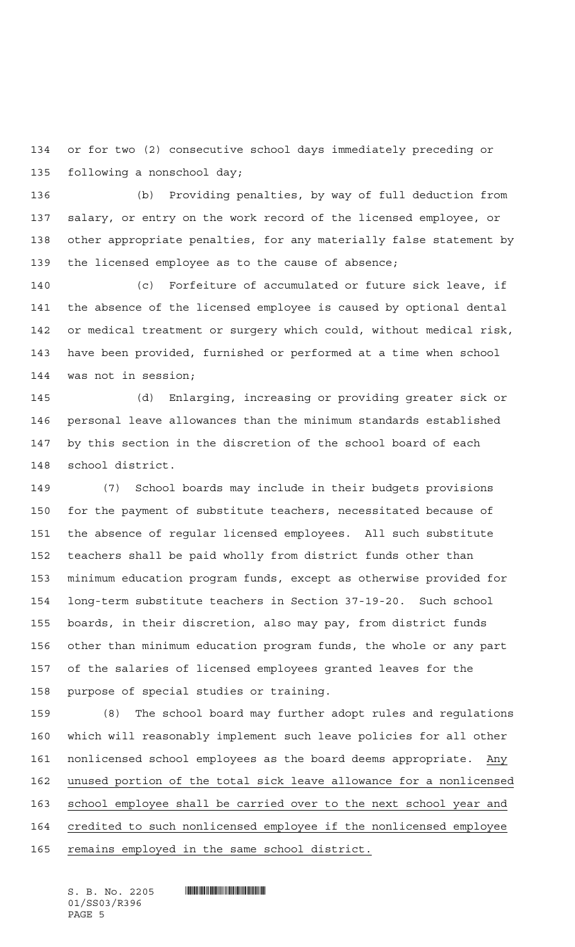or for two (2) consecutive school days immediately preceding or following a nonschool day;

 (b) Providing penalties, by way of full deduction from salary, or entry on the work record of the licensed employee, or other appropriate penalties, for any materially false statement by the licensed employee as to the cause of absence;

 (c) Forfeiture of accumulated or future sick leave, if the absence of the licensed employee is caused by optional dental or medical treatment or surgery which could, without medical risk, have been provided, furnished or performed at a time when school was not in session;

 (d) Enlarging, increasing or providing greater sick or personal leave allowances than the minimum standards established by this section in the discretion of the school board of each school district.

 (7) School boards may include in their budgets provisions for the payment of substitute teachers, necessitated because of the absence of regular licensed employees. All such substitute teachers shall be paid wholly from district funds other than minimum education program funds, except as otherwise provided for long-term substitute teachers in Section 37-19-20. Such school boards, in their discretion, also may pay, from district funds other than minimum education program funds, the whole or any part of the salaries of licensed employees granted leaves for the purpose of special studies or training.

 (8) The school board may further adopt rules and regulations which will reasonably implement such leave policies for all other nonlicensed school employees as the board deems appropriate. Any unused portion of the total sick leave allowance for a nonlicensed school employee shall be carried over to the next school year and credited to such nonlicensed employee if the nonlicensed employee 165 remains employed in the same school district.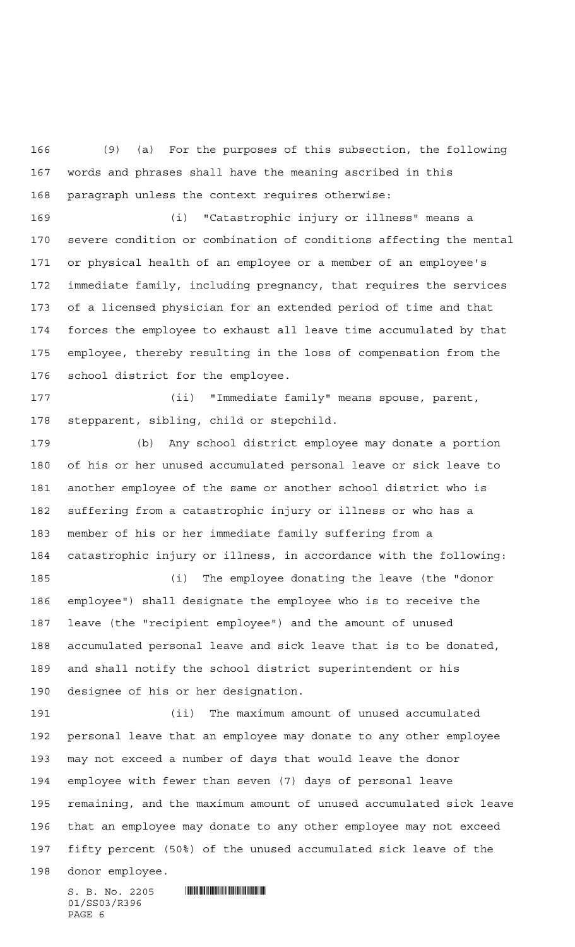(9) (a) For the purposes of this subsection, the following words and phrases shall have the meaning ascribed in this paragraph unless the context requires otherwise:

 (i) "Catastrophic injury or illness" means a severe condition or combination of conditions affecting the mental or physical health of an employee or a member of an employee's immediate family, including pregnancy, that requires the services of a licensed physician for an extended period of time and that forces the employee to exhaust all leave time accumulated by that employee, thereby resulting in the loss of compensation from the school district for the employee.

 (ii) "Immediate family" means spouse, parent, stepparent, sibling, child or stepchild.

 (b) Any school district employee may donate a portion of his or her unused accumulated personal leave or sick leave to another employee of the same or another school district who is suffering from a catastrophic injury or illness or who has a member of his or her immediate family suffering from a catastrophic injury or illness, in accordance with the following:

 (i) The employee donating the leave (the "donor employee") shall designate the employee who is to receive the leave (the "recipient employee") and the amount of unused accumulated personal leave and sick leave that is to be donated, and shall notify the school district superintendent or his designee of his or her designation.

 (ii) The maximum amount of unused accumulated personal leave that an employee may donate to any other employee may not exceed a number of days that would leave the donor employee with fewer than seven (7) days of personal leave remaining, and the maximum amount of unused accumulated sick leave that an employee may donate to any other employee may not exceed fifty percent (50%) of the unused accumulated sick leave of the

donor employee.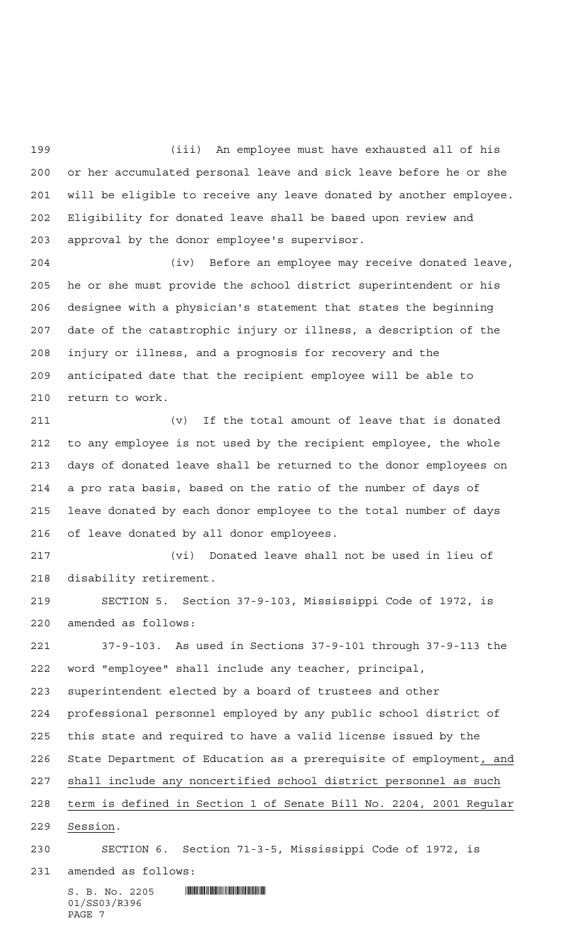(iii) An employee must have exhausted all of his or her accumulated personal leave and sick leave before he or she will be eligible to receive any leave donated by another employee. Eligibility for donated leave shall be based upon review and approval by the donor employee's supervisor.

 (iv) Before an employee may receive donated leave, he or she must provide the school district superintendent or his designee with a physician's statement that states the beginning date of the catastrophic injury or illness, a description of the injury or illness, and a prognosis for recovery and the anticipated date that the recipient employee will be able to return to work.

 (v) If the total amount of leave that is donated to any employee is not used by the recipient employee, the whole days of donated leave shall be returned to the donor employees on a pro rata basis, based on the ratio of the number of days of leave donated by each donor employee to the total number of days of leave donated by all donor employees.

 (vi) Donated leave shall not be used in lieu of disability retirement.

 SECTION 5. Section 37-9-103, Mississippi Code of 1972, is amended as follows:

 37-9-103. As used in Sections 37-9-101 through 37-9-113 the word "employee" shall include any teacher, principal, superintendent elected by a board of trustees and other professional personnel employed by any public school district of this state and required to have a valid license issued by the State Department of Education as a prerequisite of employment, and shall include any noncertified school district personnel as such term is defined in Section 1 of Senate Bill No. 2204, 2001 Regular Session.

SECTION 6. Section 71-3-5, Mississippi Code of 1972, is

amended as follows:

 $S. B. No. 2205$  . When the state of the state of  $S. B. No. 2205$ 01/SS03/R396 PAGE 7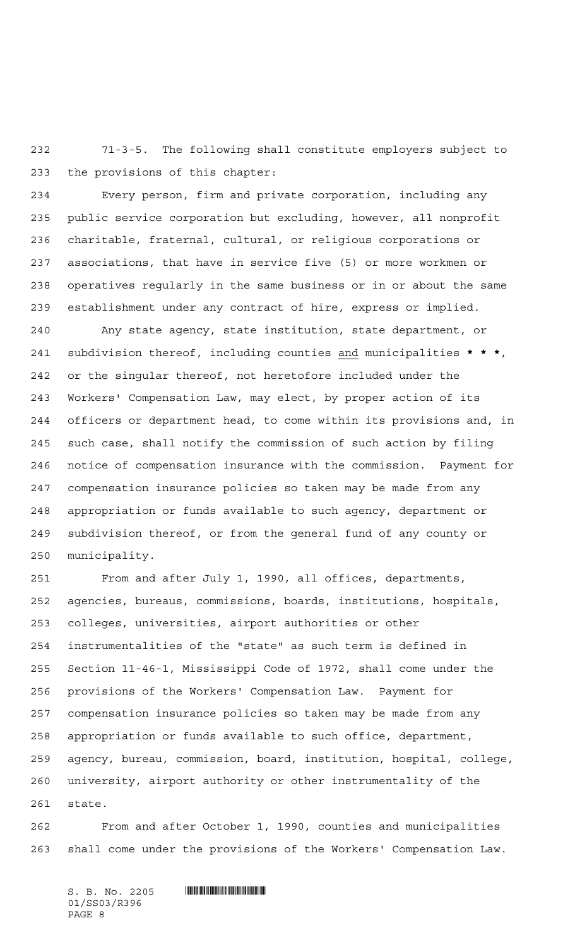71-3-5. The following shall constitute employers subject to the provisions of this chapter:

 Every person, firm and private corporation, including any public service corporation but excluding, however, all nonprofit charitable, fraternal, cultural, or religious corporations or associations, that have in service five (5) or more workmen or operatives regularly in the same business or in or about the same establishment under any contract of hire, express or implied.

 Any state agency, state institution, state department, or subdivision thereof, including counties and municipalities **\*\*\***, or the singular thereof, not heretofore included under the Workers' Compensation Law, may elect, by proper action of its officers or department head, to come within its provisions and, in such case, shall notify the commission of such action by filing notice of compensation insurance with the commission. Payment for compensation insurance policies so taken may be made from any appropriation or funds available to such agency, department or subdivision thereof, or from the general fund of any county or municipality.

 From and after July 1, 1990, all offices, departments, agencies, bureaus, commissions, boards, institutions, hospitals, colleges, universities, airport authorities or other instrumentalities of the "state" as such term is defined in Section 11-46-1, Mississippi Code of 1972, shall come under the provisions of the Workers' Compensation Law. Payment for compensation insurance policies so taken may be made from any appropriation or funds available to such office, department, agency, bureau, commission, board, institution, hospital, college, university, airport authority or other instrumentality of the state.

 From and after October 1, 1990, counties and municipalities shall come under the provisions of the Workers' Compensation Law.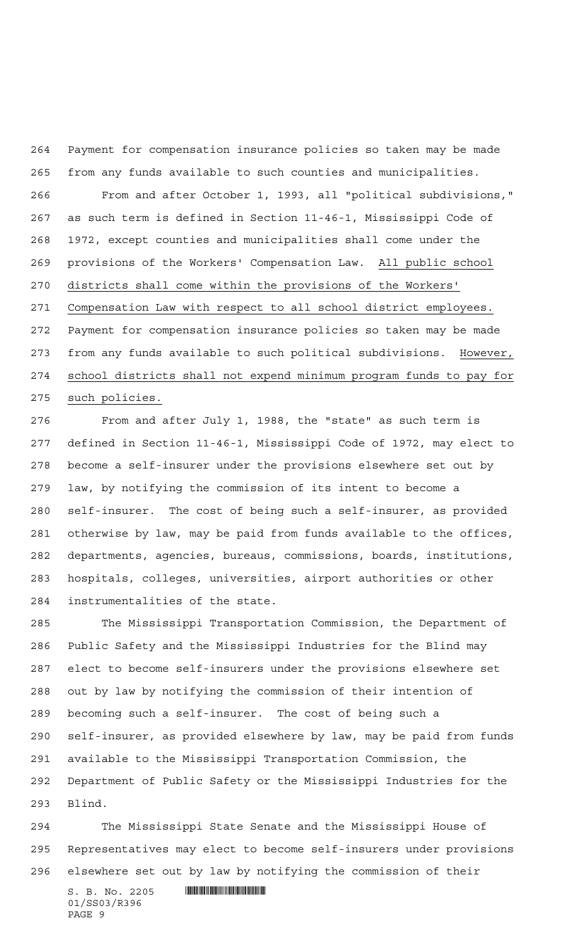Payment for compensation insurance policies so taken may be made from any funds available to such counties and municipalities.

 From and after October 1, 1993, all "political subdivisions," as such term is defined in Section 11-46-1, Mississippi Code of 1972, except counties and municipalities shall come under the provisions of the Workers' Compensation Law. All public school districts shall come within the provisions of the Workers' Compensation Law with respect to all school district employees. Payment for compensation insurance policies so taken may be made from any funds available to such political subdivisions. However, school districts shall not expend minimum program funds to pay for such policies.

 From and after July 1, 1988, the "state" as such term is defined in Section 11-46-1, Mississippi Code of 1972, may elect to become a self-insurer under the provisions elsewhere set out by law, by notifying the commission of its intent to become a self-insurer. The cost of being such a self-insurer, as provided otherwise by law, may be paid from funds available to the offices, departments, agencies, bureaus, commissions, boards, institutions, hospitals, colleges, universities, airport authorities or other instrumentalities of the state.

 The Mississippi Transportation Commission, the Department of Public Safety and the Mississippi Industries for the Blind may elect to become self-insurers under the provisions elsewhere set out by law by notifying the commission of their intention of becoming such a self-insurer. The cost of being such a self-insurer, as provided elsewhere by law, may be paid from funds available to the Mississippi Transportation Commission, the Department of Public Safety or the Mississippi Industries for the Blind.

 The Mississippi State Senate and the Mississippi House of Representatives may elect to become self-insurers under provisions elsewhere set out by law by notifying the commission of their

 $S. B. No. 2205$  . The set of the set of  $S. B. N_O.$ 01/SS03/R396 PAGE 9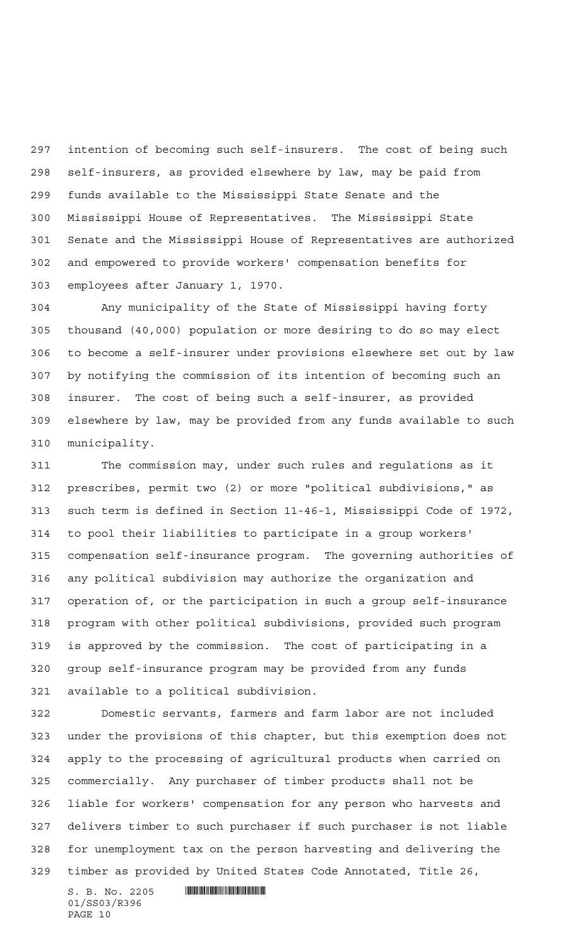intention of becoming such self-insurers. The cost of being such self-insurers, as provided elsewhere by law, may be paid from funds available to the Mississippi State Senate and the Mississippi House of Representatives. The Mississippi State Senate and the Mississippi House of Representatives are authorized and empowered to provide workers' compensation benefits for employees after January 1, 1970.

 Any municipality of the State of Mississippi having forty thousand (40,000) population or more desiring to do so may elect to become a self-insurer under provisions elsewhere set out by law by notifying the commission of its intention of becoming such an insurer. The cost of being such a self-insurer, as provided elsewhere by law, may be provided from any funds available to such municipality.

 The commission may, under such rules and regulations as it prescribes, permit two (2) or more "political subdivisions," as such term is defined in Section 11-46-1, Mississippi Code of 1972, to pool their liabilities to participate in a group workers' compensation self-insurance program. The governing authorities of any political subdivision may authorize the organization and operation of, or the participation in such a group self-insurance program with other political subdivisions, provided such program is approved by the commission. The cost of participating in a group self-insurance program may be provided from any funds available to a political subdivision.

 Domestic servants, farmers and farm labor are not included under the provisions of this chapter, but this exemption does not apply to the processing of agricultural products when carried on commercially. Any purchaser of timber products shall not be liable for workers' compensation for any person who harvests and delivers timber to such purchaser if such purchaser is not liable for unemployment tax on the person harvesting and delivering the timber as provided by United States Code Annotated, Title 26,

 $S. B. No. 2205$  . The set of the set of  $S. B. N_O.$ 01/SS03/R396 PAGE 10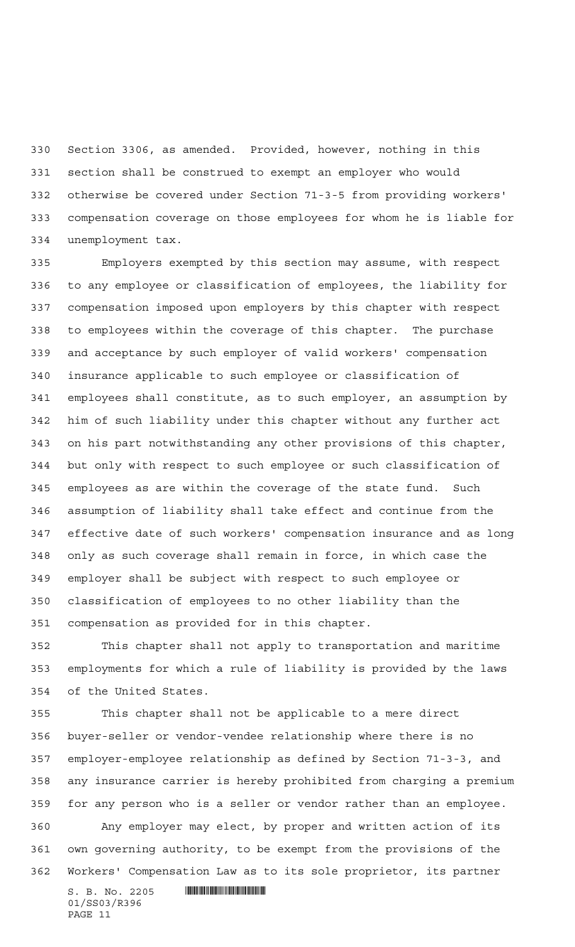Section 3306, as amended. Provided, however, nothing in this section shall be construed to exempt an employer who would otherwise be covered under Section 71-3-5 from providing workers' compensation coverage on those employees for whom he is liable for unemployment tax.

 Employers exempted by this section may assume, with respect to any employee or classification of employees, the liability for compensation imposed upon employers by this chapter with respect to employees within the coverage of this chapter. The purchase and acceptance by such employer of valid workers' compensation insurance applicable to such employee or classification of employees shall constitute, as to such employer, an assumption by him of such liability under this chapter without any further act on his part notwithstanding any other provisions of this chapter, but only with respect to such employee or such classification of employees as are within the coverage of the state fund. Such assumption of liability shall take effect and continue from the effective date of such workers' compensation insurance and as long only as such coverage shall remain in force, in which case the employer shall be subject with respect to such employee or classification of employees to no other liability than the compensation as provided for in this chapter.

 This chapter shall not apply to transportation and maritime employments for which a rule of liability is provided by the laws of the United States.

 This chapter shall not be applicable to a mere direct buyer-seller or vendor-vendee relationship where there is no employer-employee relationship as defined by Section 71-3-3, and any insurance carrier is hereby prohibited from charging a premium for any person who is a seller or vendor rather than an employee. Any employer may elect, by proper and written action of its own governing authority, to be exempt from the provisions of the Workers' Compensation Law as to its sole proprietor, its partner

 $S. B. No. 2205$  . Soc.  $\frac{1}{2}$  . The set of  $S. B. N$ 01/SS03/R396 PAGE 11